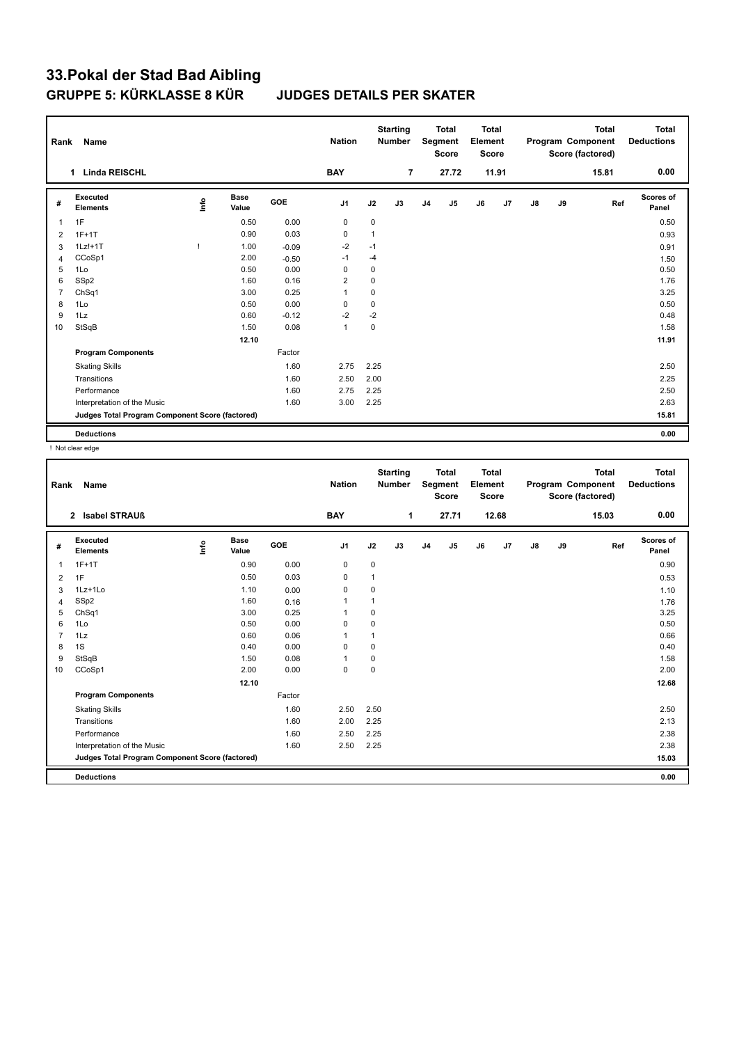| Rank           | Name                                            |      |                      |            | <b>Nation</b>  |              | <b>Starting</b><br><b>Number</b> |                | <b>Total</b><br>Segment<br><b>Score</b> | <b>Total</b><br>Element<br>Score |                |               |    | <b>Total</b><br>Program Component<br>Score (factored) | <b>Total</b><br><b>Deductions</b> |
|----------------|-------------------------------------------------|------|----------------------|------------|----------------|--------------|----------------------------------|----------------|-----------------------------------------|----------------------------------|----------------|---------------|----|-------------------------------------------------------|-----------------------------------|
|                | <b>Linda REISCHL</b><br>1                       |      |                      |            | <b>BAY</b>     |              | $\overline{7}$                   |                | 27.72                                   |                                  | 11.91          |               |    | 15.81                                                 | 0.00                              |
| #              | <b>Executed</b><br><b>Elements</b>              | ١nfo | <b>Base</b><br>Value | <b>GOE</b> | J <sub>1</sub> | J2           | J3                               | J <sub>4</sub> | J5                                      | J6                               | J <sub>7</sub> | $\mathsf{J}8$ | J9 | Ref                                                   | <b>Scores of</b><br>Panel         |
| $\overline{1}$ | 1F                                              |      | 0.50                 | 0.00       | 0              | 0            |                                  |                |                                         |                                  |                |               |    |                                                       | 0.50                              |
| 2              | $1F+1T$                                         |      | 0.90                 | 0.03       | 0              | $\mathbf{1}$ |                                  |                |                                         |                                  |                |               |    |                                                       | 0.93                              |
| 3              | $1Lz!+1T$                                       |      | 1.00                 | $-0.09$    | $-2$           | $-1$         |                                  |                |                                         |                                  |                |               |    |                                                       | 0.91                              |
| 4              | CCoSp1                                          |      | 2.00                 | $-0.50$    | $-1$           | $-4$         |                                  |                |                                         |                                  |                |               |    |                                                       | 1.50                              |
| 5              | 1Lo                                             |      | 0.50                 | 0.00       | 0              | 0            |                                  |                |                                         |                                  |                |               |    |                                                       | 0.50                              |
| 6              | SSp2                                            |      | 1.60                 | 0.16       | $\overline{2}$ | $\mathbf 0$  |                                  |                |                                         |                                  |                |               |    |                                                       | 1.76                              |
| $\overline{7}$ | ChSq1                                           |      | 3.00                 | 0.25       | $\mathbf{1}$   | 0            |                                  |                |                                         |                                  |                |               |    |                                                       | 3.25                              |
| 8              | 1Lo                                             |      | 0.50                 | 0.00       | 0              | 0            |                                  |                |                                         |                                  |                |               |    |                                                       | 0.50                              |
| 9              | 1Lz                                             |      | 0.60                 | $-0.12$    | $-2$           | $-2$         |                                  |                |                                         |                                  |                |               |    |                                                       | 0.48                              |
| 10             | StSqB                                           |      | 1.50                 | 0.08       | $\mathbf{1}$   | $\mathbf 0$  |                                  |                |                                         |                                  |                |               |    |                                                       | 1.58                              |
|                |                                                 |      | 12.10                |            |                |              |                                  |                |                                         |                                  |                |               |    |                                                       | 11.91                             |
|                | <b>Program Components</b>                       |      |                      | Factor     |                |              |                                  |                |                                         |                                  |                |               |    |                                                       |                                   |
|                | <b>Skating Skills</b>                           |      |                      | 1.60       | 2.75           | 2.25         |                                  |                |                                         |                                  |                |               |    |                                                       | 2.50                              |
|                | Transitions                                     |      |                      | 1.60       | 2.50           | 2.00         |                                  |                |                                         |                                  |                |               |    |                                                       | 2.25                              |
|                | Performance                                     |      |                      | 1.60       | 2.75           | 2.25         |                                  |                |                                         |                                  |                |               |    |                                                       | 2.50                              |
|                | Interpretation of the Music                     |      |                      | 1.60       | 3.00           | 2.25         |                                  |                |                                         |                                  |                |               |    |                                                       | 2.63                              |
|                | Judges Total Program Component Score (factored) |      |                      |            |                |              |                                  |                |                                         |                                  |                |               |    |                                                       | 15.81                             |
|                | <b>Deductions</b>                               |      |                      |            |                |              |                                  |                |                                         |                                  |                |               |    |                                                       | 0.00                              |

! Not clear edge

| Rank           | Name                                            |    |                      |        | <b>Nation</b>  |              | <b>Starting</b><br><b>Number</b> |                | <b>Total</b><br>Segment<br><b>Score</b> | <b>Total</b><br>Element<br><b>Score</b> |                |    |    | <b>Total</b><br>Program Component<br>Score (factored) | <b>Total</b><br><b>Deductions</b> |
|----------------|-------------------------------------------------|----|----------------------|--------|----------------|--------------|----------------------------------|----------------|-----------------------------------------|-----------------------------------------|----------------|----|----|-------------------------------------------------------|-----------------------------------|
|                | 2 Isabel STRAUß                                 |    |                      |        | <b>BAY</b>     |              | 1                                |                | 27.71                                   |                                         | 12.68          |    |    | 15.03                                                 | 0.00                              |
| #              | Executed<br><b>Elements</b>                     | ١m | <b>Base</b><br>Value | GOE    | J <sub>1</sub> | J2           | J3                               | J <sub>4</sub> | J5                                      | J6                                      | J <sub>7</sub> | J8 | J9 | Ref                                                   | <b>Scores of</b><br>Panel         |
| $\overline{1}$ | $1F+1T$                                         |    | 0.90                 | 0.00   | $\pmb{0}$      | 0            |                                  |                |                                         |                                         |                |    |    |                                                       | 0.90                              |
| $\overline{2}$ | 1F                                              |    | 0.50                 | 0.03   | 0              | $\mathbf{1}$ |                                  |                |                                         |                                         |                |    |    |                                                       | 0.53                              |
| 3              | 1Lz+1Lo                                         |    | 1.10                 | 0.00   | 0              | 0            |                                  |                |                                         |                                         |                |    |    |                                                       | 1.10                              |
| $\overline{4}$ | SSp2                                            |    | 1.60                 | 0.16   | $\mathbf{1}$   | 1            |                                  |                |                                         |                                         |                |    |    |                                                       | 1.76                              |
| 5              | ChSq1                                           |    | 3.00                 | 0.25   | $\overline{1}$ | 0            |                                  |                |                                         |                                         |                |    |    |                                                       | 3.25                              |
| 6              | 1Lo                                             |    | 0.50                 | 0.00   | $\mathbf 0$    | 0            |                                  |                |                                         |                                         |                |    |    |                                                       | 0.50                              |
| $\overline{7}$ | 1Lz                                             |    | 0.60                 | 0.06   | $\overline{1}$ | $\mathbf{1}$ |                                  |                |                                         |                                         |                |    |    |                                                       | 0.66                              |
| 8              | 1S                                              |    | 0.40                 | 0.00   | 0              | 0            |                                  |                |                                         |                                         |                |    |    |                                                       | 0.40                              |
| 9              | StSqB                                           |    | 1.50                 | 0.08   | $\overline{1}$ | 0            |                                  |                |                                         |                                         |                |    |    |                                                       | 1.58                              |
| 10             | CCoSp1                                          |    | 2.00                 | 0.00   | $\mathbf 0$    | 0            |                                  |                |                                         |                                         |                |    |    |                                                       | 2.00                              |
|                |                                                 |    | 12.10                |        |                |              |                                  |                |                                         |                                         |                |    |    |                                                       | 12.68                             |
|                | <b>Program Components</b>                       |    |                      | Factor |                |              |                                  |                |                                         |                                         |                |    |    |                                                       |                                   |
|                | <b>Skating Skills</b>                           |    |                      | 1.60   | 2.50           | 2.50         |                                  |                |                                         |                                         |                |    |    |                                                       | 2.50                              |
|                | Transitions                                     |    |                      | 1.60   | 2.00           | 2.25         |                                  |                |                                         |                                         |                |    |    |                                                       | 2.13                              |
|                | Performance                                     |    |                      | 1.60   | 2.50           | 2.25         |                                  |                |                                         |                                         |                |    |    |                                                       | 2.38                              |
|                | Interpretation of the Music                     |    |                      | 1.60   | 2.50           | 2.25         |                                  |                |                                         |                                         |                |    |    |                                                       | 2.38                              |
|                | Judges Total Program Component Score (factored) |    |                      |        |                |              |                                  |                |                                         |                                         |                |    |    |                                                       | 15.03                             |
|                |                                                 |    |                      |        |                |              |                                  |                |                                         |                                         |                |    |    |                                                       |                                   |
|                | <b>Deductions</b>                               |    |                      |        |                |              |                                  |                |                                         |                                         |                |    |    |                                                       | 0.00                              |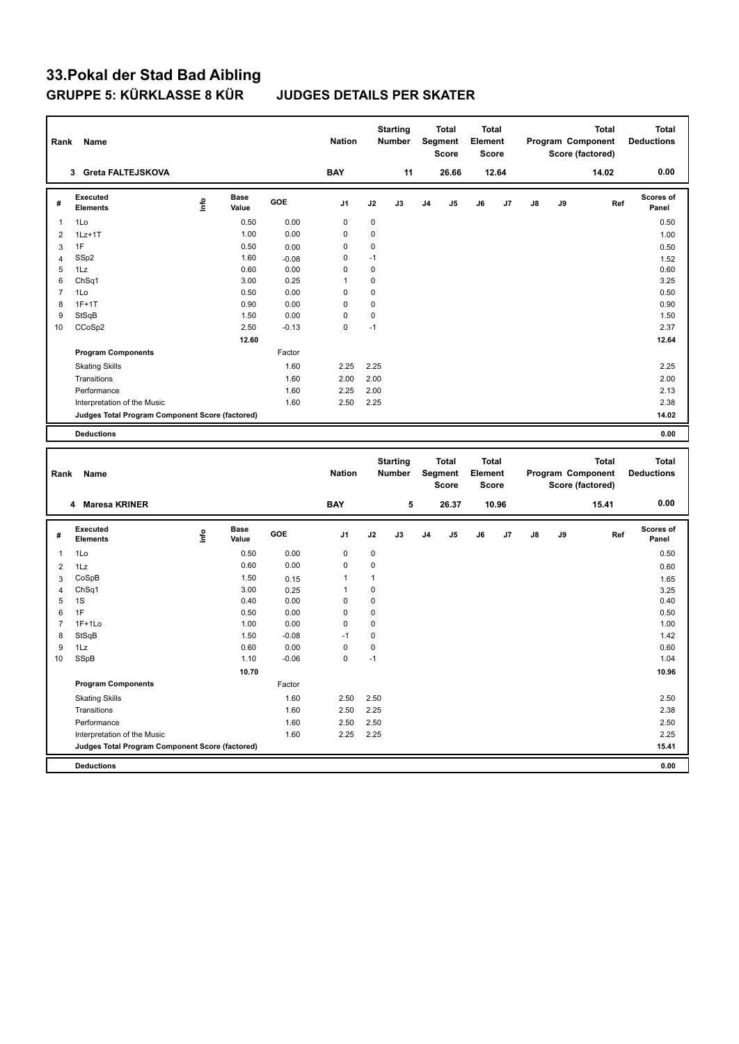| Rank           | Name                                            |      |                      |         | <b>Nation</b> |             | <b>Starting</b><br><b>Number</b> |                | Total<br>Segment<br>Score | <b>Total</b><br>Element | Score |    |    | Program Component<br>Score (factored) | <b>Total</b> | <b>Total</b><br><b>Deductions</b> |
|----------------|-------------------------------------------------|------|----------------------|---------|---------------|-------------|----------------------------------|----------------|---------------------------|-------------------------|-------|----|----|---------------------------------------|--------------|-----------------------------------|
|                | 3 Greta FALTEJSKOVA                             |      |                      |         | <b>BAY</b>    |             | 11                               |                | 26.66                     |                         | 12.64 |    |    | 14.02                                 |              | 0.00                              |
| #              | <b>Executed</b><br><b>Elements</b>              | ١nfo | <b>Base</b><br>Value | GOE     | J1            | J2          | J3                               | J4             | J5                        | J6                      | J7    | J8 | J9 |                                       | Ref          | Scores of<br>Panel                |
| $\mathbf{1}$   | 1Lo                                             |      | 0.50                 | 0.00    | $\mathbf 0$   | 0           |                                  |                |                           |                         |       |    |    |                                       |              | 0.50                              |
| $\overline{2}$ | $1Lz+1T$                                        |      | 1.00                 | 0.00    | $\mathbf 0$   | 0           |                                  |                |                           |                         |       |    |    |                                       |              | 1.00                              |
| 3              | 1F                                              |      | 0.50                 | 0.00    | 0             | 0           |                                  |                |                           |                         |       |    |    |                                       |              | 0.50                              |
| $\overline{4}$ | SSp2                                            |      | 1.60                 | $-0.08$ | 0             | $-1$        |                                  |                |                           |                         |       |    |    |                                       |              | 1.52                              |
| 5              | 1Lz                                             |      | 0.60                 | 0.00    | 0             | 0           |                                  |                |                           |                         |       |    |    |                                       |              | 0.60                              |
| 6              | Ch <sub>Sq1</sub>                               |      | 3.00                 | 0.25    | 1             | 0           |                                  |                |                           |                         |       |    |    |                                       |              | 3.25                              |
| $\overline{7}$ | 1Lo                                             |      | 0.50                 | 0.00    | 0             | 0           |                                  |                |                           |                         |       |    |    |                                       |              | 0.50                              |
| 8              | $1F+1T$                                         |      | 0.90                 | 0.00    | 0             | $\mathbf 0$ |                                  |                |                           |                         |       |    |    |                                       |              | 0.90                              |
| 9              | StSqB                                           |      | 1.50                 | 0.00    | $\mathbf 0$   | $\mathbf 0$ |                                  |                |                           |                         |       |    |    |                                       |              | 1.50                              |
| 10             | CCoSp2                                          |      | 2.50                 | $-0.13$ | 0             | $-1$        |                                  |                |                           |                         |       |    |    |                                       |              | 2.37                              |
|                |                                                 |      | 12.60                |         |               |             |                                  |                |                           |                         |       |    |    |                                       |              | 12.64                             |
|                | <b>Program Components</b>                       |      |                      | Factor  |               |             |                                  |                |                           |                         |       |    |    |                                       |              |                                   |
|                | <b>Skating Skills</b>                           |      |                      | 1.60    | 2.25          | 2.25        |                                  |                |                           |                         |       |    |    |                                       |              | 2.25                              |
|                | Transitions                                     |      |                      | 1.60    | 2.00          | 2.00        |                                  |                |                           |                         |       |    |    |                                       |              | 2.00                              |
|                | Performance                                     |      |                      | 1.60    | 2.25          | 2.00        |                                  |                |                           |                         |       |    |    |                                       |              | 2.13                              |
|                | Interpretation of the Music                     |      |                      | 1.60    | 2.50          | 2.25        |                                  |                |                           |                         |       |    |    |                                       |              | 2.38                              |
|                | Judges Total Program Component Score (factored) |      |                      |         |               |             |                                  |                |                           |                         |       |    |    |                                       |              | 14.02                             |
|                | <b>Deductions</b>                               |      |                      |         |               |             |                                  |                |                           |                         |       |    |    |                                       |              | 0.00                              |
|                |                                                 |      |                      |         |               |             |                                  |                |                           |                         |       |    |    |                                       |              |                                   |
|                |                                                 |      |                      |         |               |             |                                  |                |                           |                         |       |    |    |                                       |              |                                   |
|                |                                                 |      |                      |         |               |             | <b>Starting</b>                  |                | <b>Total</b>              | <b>Total</b>            |       |    |    |                                       | <b>Total</b> | <b>Total</b>                      |
| Rank           | <b>Name</b>                                     |      |                      |         | <b>Nation</b> |             | Number                           |                | Segment                   | Element                 |       |    |    | Program Component                     |              | <b>Deductions</b>                 |
|                |                                                 |      |                      |         |               |             |                                  |                | <b>Score</b>              | Score                   |       |    |    | Score (factored)                      |              |                                   |
|                | 4 Maresa KRINER                                 |      |                      |         | <b>BAY</b>    |             | 5                                |                | 26.37                     |                         | 10.96 |    |    | 15.41                                 |              | 0.00                              |
| #              | <b>Executed</b><br><b>Elements</b>              | ١nf٥ | <b>Base</b><br>Value | GOE     | J1            | J2          | J3                               | J <sub>4</sub> | J5                        | J6                      | J7    | J8 | J9 |                                       | Ref          | <b>Scores of</b><br>Panel         |
| 1              | 1Lo                                             |      | 0.50                 | 0.00    | $\mathbf 0$   | 0           |                                  |                |                           |                         |       |    |    |                                       |              | 0.50                              |
| $\overline{2}$ | 1Lz                                             |      | 0.60                 | 0.00    | 0             | 0           |                                  |                |                           |                         |       |    |    |                                       |              | 0.60                              |
| 3              | CoSpB                                           |      | 1.50                 | 0.15    | 1             | 1           |                                  |                |                           |                         |       |    |    |                                       |              | 1.65                              |
| $\overline{4}$ | ChSq1                                           |      | 3.00                 | 0.25    | 1             | 0           |                                  |                |                           |                         |       |    |    |                                       |              | 3.25                              |
| 5              | 1S                                              |      | 0.40                 | 0.00    | 0             | $\mathbf 0$ |                                  |                |                           |                         |       |    |    |                                       |              | 0.40                              |
| 6              | 1F                                              |      | 0.50                 | 0.00    | 0             | 0           |                                  |                |                           |                         |       |    |    |                                       |              | 0.50                              |
| $\overline{7}$ | $1F+1Lo$                                        |      | 1.00                 | 0.00    | $\mathbf 0$   | $\mathbf 0$ |                                  |                |                           |                         |       |    |    |                                       |              | 1.00                              |
| 8              | StSqB                                           |      | 1.50                 | $-0.08$ | $-1$          | $\mathbf 0$ |                                  |                |                           |                         |       |    |    |                                       |              | 1.42                              |
| 9              | 1Lz                                             |      | 0.60                 | 0.00    | $\mathbf 0$   | 0           |                                  |                |                           |                         |       |    |    |                                       |              | 0.60                              |
| 10             | SSpB                                            |      | 1.10                 | $-0.06$ | $\mathbf 0$   | $-1$        |                                  |                |                           |                         |       |    |    |                                       |              | 1.04                              |
|                |                                                 |      | 10.70                |         |               |             |                                  |                |                           |                         |       |    |    |                                       |              | 10.96                             |
|                | <b>Program Components</b>                       |      |                      | Factor  |               |             |                                  |                |                           |                         |       |    |    |                                       |              |                                   |
|                | <b>Skating Skills</b>                           |      |                      | 1.60    | 2.50          | 2.50        |                                  |                |                           |                         |       |    |    |                                       |              | 2.50                              |
|                | Transitions                                     |      |                      | 1.60    | 2.50          | 2.25        |                                  |                |                           |                         |       |    |    |                                       |              | 2.38                              |
|                | Performance                                     |      |                      | 1.60    | 2.50          | 2.50        |                                  |                |                           |                         |       |    |    |                                       |              | 2.50                              |
|                | Interpretation of the Music                     |      |                      | 1.60    | 2.25          | 2.25        |                                  |                |                           |                         |       |    |    |                                       |              | 2.25                              |
|                | Judges Total Program Component Score (factored) |      |                      |         |               |             |                                  |                |                           |                         |       |    |    |                                       |              | 15.41                             |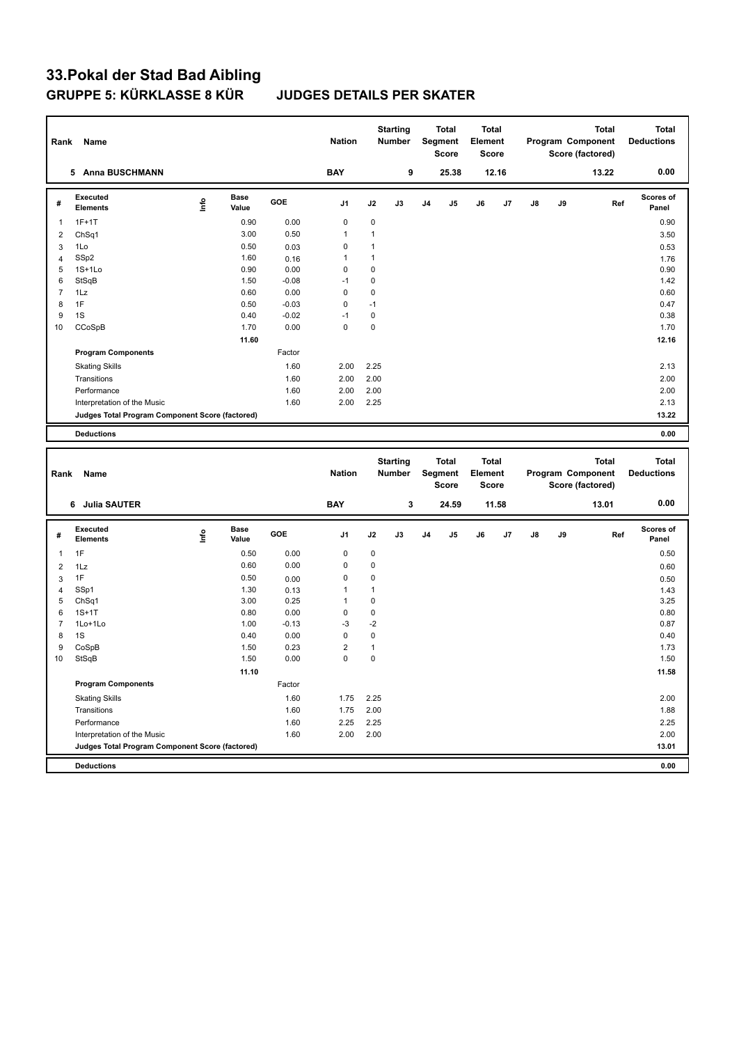| Rank           | Name                                            |       |                      |         | <b>Nation</b>  |              | <b>Starting</b><br><b>Number</b> |    | Total<br>Segment<br>Score               | Total<br>Element<br>Score        |       |    |    | <b>Total</b><br>Program Component<br>Score (factored) |     | Total<br><b>Deductions</b>        |
|----------------|-------------------------------------------------|-------|----------------------|---------|----------------|--------------|----------------------------------|----|-----------------------------------------|----------------------------------|-------|----|----|-------------------------------------------------------|-----|-----------------------------------|
|                | 5 Anna BUSCHMANN                                |       |                      |         | <b>BAY</b>     |              | 9                                |    | 25.38                                   |                                  | 12.16 |    |    | 13.22                                                 |     | 0.00                              |
| #              | <b>Executed</b><br><b>Elements</b>              | lnfo  | <b>Base</b><br>Value | GOE     | J <sub>1</sub> | J2           | J3                               | J4 | J <sub>5</sub>                          | J6                               | J7    | J8 | J9 |                                                       | Ref | <b>Scores of</b><br>Panel         |
| 1              | $1F+1T$                                         |       | 0.90                 | 0.00    | 0              | 0            |                                  |    |                                         |                                  |       |    |    |                                                       |     | 0.90                              |
| $\overline{2}$ | Ch <sub>Sq1</sub>                               |       | 3.00                 | 0.50    | 1              | $\mathbf{1}$ |                                  |    |                                         |                                  |       |    |    |                                                       |     | 3.50                              |
| 3              | 1Lo                                             |       | 0.50                 | 0.03    | 0              | 1            |                                  |    |                                         |                                  |       |    |    |                                                       |     | 0.53                              |
| $\overline{4}$ | SSp2                                            |       | 1.60                 | 0.16    | 1              | $\mathbf{1}$ |                                  |    |                                         |                                  |       |    |    |                                                       |     | 1.76                              |
| 5              | $1S+1Lo$                                        |       | 0.90                 | 0.00    | 0              | 0            |                                  |    |                                         |                                  |       |    |    |                                                       |     | 0.90                              |
| 6              | StSqB                                           |       | 1.50                 | $-0.08$ | $-1$           | 0            |                                  |    |                                         |                                  |       |    |    |                                                       |     | 1.42                              |
| $\overline{7}$ | 1Lz                                             |       | 0.60                 | 0.00    | 0              | 0            |                                  |    |                                         |                                  |       |    |    |                                                       |     | 0.60                              |
| 8              | 1F                                              |       | 0.50                 | $-0.03$ | 0              | $-1$         |                                  |    |                                         |                                  |       |    |    |                                                       |     | 0.47                              |
| 9              | 1S                                              |       | 0.40                 | $-0.02$ | $-1$           | 0            |                                  |    |                                         |                                  |       |    |    |                                                       |     | 0.38                              |
| 10             | CCoSpB                                          |       | 1.70                 | 0.00    | $\mathbf 0$    | 0            |                                  |    |                                         |                                  |       |    |    |                                                       |     | 1.70                              |
|                |                                                 |       | 11.60                |         |                |              |                                  |    |                                         |                                  |       |    |    |                                                       |     | 12.16                             |
|                | <b>Program Components</b>                       |       |                      | Factor  |                |              |                                  |    |                                         |                                  |       |    |    |                                                       |     |                                   |
|                | <b>Skating Skills</b>                           |       |                      | 1.60    | 2.00           | 2.25         |                                  |    |                                         |                                  |       |    |    |                                                       |     | 2.13                              |
|                | Transitions                                     |       |                      | 1.60    | 2.00           | 2.00         |                                  |    |                                         |                                  |       |    |    |                                                       |     | 2.00                              |
|                | Performance                                     |       |                      | 1.60    | 2.00           | 2.00         |                                  |    |                                         |                                  |       |    |    |                                                       |     | 2.00                              |
|                | Interpretation of the Music                     |       |                      | 1.60    | 2.00           | 2.25         |                                  |    |                                         |                                  |       |    |    |                                                       |     | 2.13                              |
|                | Judges Total Program Component Score (factored) |       |                      |         |                |              |                                  |    |                                         |                                  |       |    |    |                                                       |     | 13.22                             |
|                | <b>Deductions</b>                               |       |                      |         |                |              |                                  |    |                                         |                                  |       |    |    |                                                       |     | 0.00                              |
|                |                                                 |       |                      |         |                |              |                                  |    |                                         |                                  |       |    |    |                                                       |     |                                   |
|                |                                                 |       |                      |         |                |              |                                  |    |                                         |                                  |       |    |    |                                                       |     |                                   |
| Rank           | Name                                            |       |                      |         | <b>Nation</b>  |              | <b>Starting</b><br>Number        |    | <b>Total</b><br>Segment<br><b>Score</b> | <b>Total</b><br>Element<br>Score |       |    |    | <b>Total</b><br>Program Component<br>Score (factored) |     | <b>Total</b><br><b>Deductions</b> |
|                | 6 Julia SAUTER                                  |       |                      |         | <b>BAY</b>     |              | 3                                |    | 24.59                                   |                                  | 11.58 |    |    | 13.01                                                 |     | 0.00                              |
| #              | <b>Executed</b><br><b>Elements</b>              | Linfo | <b>Base</b><br>Value | GOE     | J1             | J2           | J3                               | J4 | J <sub>5</sub>                          | J6                               | J7    | J8 | J9 |                                                       | Ref | Scores of<br>Panel                |
| 1              | 1F                                              |       | 0.50                 | 0.00    | 0              | 0            |                                  |    |                                         |                                  |       |    |    |                                                       |     | 0.50                              |
| $\overline{2}$ | 1Lz                                             |       | 0.60                 | 0.00    | 0              | 0            |                                  |    |                                         |                                  |       |    |    |                                                       |     | 0.60                              |
| 3              | 1F                                              |       | 0.50                 | 0.00    | 0              | 0            |                                  |    |                                         |                                  |       |    |    |                                                       |     | 0.50                              |
| $\overline{4}$ | SSp1                                            |       | 1.30                 | 0.13    | $\mathbf{1}$   | $\mathbf{1}$ |                                  |    |                                         |                                  |       |    |    |                                                       |     | 1.43                              |
| 5              | ChSq1                                           |       | 3.00                 | 0.25    | 1              | 0            |                                  |    |                                         |                                  |       |    |    |                                                       |     | 3.25                              |
| 6              | $1S+1T$                                         |       | 0.80                 | 0.00    | 0              | 0            |                                  |    |                                         |                                  |       |    |    |                                                       |     | 0.80                              |
| $\overline{7}$ | 1Lo+1Lo                                         |       | 1.00                 | $-0.13$ | $-3$           | $-2$         |                                  |    |                                         |                                  |       |    |    |                                                       |     | 0.87                              |
| 8              | 1S                                              |       | 0.40                 | 0.00    | $\mathbf 0$    | 0            |                                  |    |                                         |                                  |       |    |    |                                                       |     | 0.40                              |
| 9              | CoSpB                                           |       | 1.50                 | 0.23    | $\overline{c}$ | 1            |                                  |    |                                         |                                  |       |    |    |                                                       |     | 1.73                              |
| 10             | StSqB                                           |       | 1.50                 | 0.00    | $\mathbf 0$    | 0            |                                  |    |                                         |                                  |       |    |    |                                                       |     | 1.50                              |
|                |                                                 |       | 11.10                |         |                |              |                                  |    |                                         |                                  |       |    |    |                                                       |     | 11.58                             |
|                | <b>Program Components</b>                       |       |                      | Factor  |                |              |                                  |    |                                         |                                  |       |    |    |                                                       |     |                                   |
|                | <b>Skating Skills</b>                           |       |                      | 1.60    | 1.75           | 2.25         |                                  |    |                                         |                                  |       |    |    |                                                       |     | 2.00                              |
|                | Transitions                                     |       |                      | 1.60    | 1.75           | 2.00         |                                  |    |                                         |                                  |       |    |    |                                                       |     | 1.88                              |
|                | Performance                                     |       |                      | 1.60    | 2.25           | 2.25         |                                  |    |                                         |                                  |       |    |    |                                                       |     | 2.25                              |
|                | Interpretation of the Music                     |       |                      | 1.60    | 2.00           | 2.00         |                                  |    |                                         |                                  |       |    |    |                                                       |     | 2.00                              |
|                | Judges Total Program Component Score (factored) |       |                      |         |                |              |                                  |    |                                         |                                  |       |    |    |                                                       |     | 13.01                             |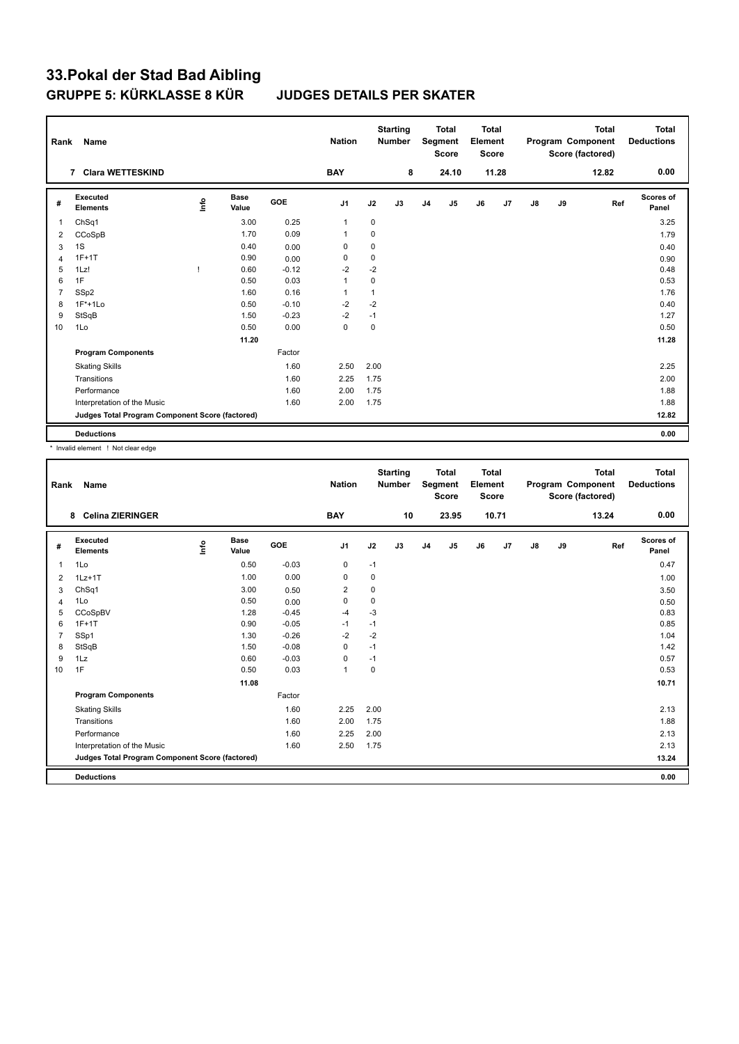| Rank           | Name                                            |      |                      |         | <b>Nation</b>  |              | <b>Starting</b><br><b>Number</b> |                | <b>Total</b><br>Segment<br><b>Score</b> | <b>Total</b><br>Element<br>Score |       |               |    | <b>Total</b><br>Program Component<br>Score (factored) | <b>Total</b><br><b>Deductions</b> |
|----------------|-------------------------------------------------|------|----------------------|---------|----------------|--------------|----------------------------------|----------------|-----------------------------------------|----------------------------------|-------|---------------|----|-------------------------------------------------------|-----------------------------------|
|                | <b>Clara WETTESKIND</b><br>$\overline{7}$       |      |                      |         | <b>BAY</b>     |              | 8                                |                | 24.10                                   |                                  | 11.28 |               |    | 12.82                                                 | 0.00                              |
| #              | <b>Executed</b><br><b>Elements</b>              | lnfo | <b>Base</b><br>Value | GOE     | J <sub>1</sub> | J2           | J3                               | J <sub>4</sub> | J5                                      | J6                               | J7    | $\mathsf{J}8$ | J9 | Ref                                                   | <b>Scores of</b><br>Panel         |
| 1              | Ch <sub>Sq1</sub>                               |      | 3.00                 | 0.25    | $\mathbf{1}$   | 0            |                                  |                |                                         |                                  |       |               |    |                                                       | 3.25                              |
| 2              | CCoSpB                                          |      | 1.70                 | 0.09    | $\overline{1}$ | 0            |                                  |                |                                         |                                  |       |               |    |                                                       | 1.79                              |
| 3              | 1S                                              |      | 0.40                 | 0.00    | 0              | 0            |                                  |                |                                         |                                  |       |               |    |                                                       | 0.40                              |
| $\overline{4}$ | $1F+1T$                                         |      | 0.90                 | 0.00    | 0              | 0            |                                  |                |                                         |                                  |       |               |    |                                                       | 0.90                              |
| 5              | 1Lz!                                            | л    | 0.60                 | $-0.12$ | $-2$           | $-2$         |                                  |                |                                         |                                  |       |               |    |                                                       | 0.48                              |
| 6              | 1F                                              |      | 0.50                 | 0.03    | $\mathbf{1}$   | 0            |                                  |                |                                         |                                  |       |               |    |                                                       | 0.53                              |
| $\overline{7}$ | SSp2                                            |      | 1.60                 | 0.16    | $\overline{1}$ | $\mathbf{1}$ |                                  |                |                                         |                                  |       |               |    |                                                       | 1.76                              |
| 8              | $1F*+1Lo$                                       |      | 0.50                 | $-0.10$ | $-2$           | $-2$         |                                  |                |                                         |                                  |       |               |    |                                                       | 0.40                              |
| 9              | StSqB                                           |      | 1.50                 | $-0.23$ | $-2$           | $-1$         |                                  |                |                                         |                                  |       |               |    |                                                       | 1.27                              |
| 10             | 1Lo                                             |      | 0.50                 | 0.00    | $\mathbf 0$    | $\mathbf 0$  |                                  |                |                                         |                                  |       |               |    |                                                       | 0.50                              |
|                |                                                 |      | 11.20                |         |                |              |                                  |                |                                         |                                  |       |               |    |                                                       | 11.28                             |
|                | <b>Program Components</b>                       |      |                      | Factor  |                |              |                                  |                |                                         |                                  |       |               |    |                                                       |                                   |
|                | <b>Skating Skills</b>                           |      |                      | 1.60    | 2.50           | 2.00         |                                  |                |                                         |                                  |       |               |    |                                                       | 2.25                              |
|                | Transitions                                     |      |                      | 1.60    | 2.25           | 1.75         |                                  |                |                                         |                                  |       |               |    |                                                       | 2.00                              |
|                | Performance                                     |      |                      | 1.60    | 2.00           | 1.75         |                                  |                |                                         |                                  |       |               |    |                                                       | 1.88                              |
|                | Interpretation of the Music                     |      |                      | 1.60    | 2.00           | 1.75         |                                  |                |                                         |                                  |       |               |    |                                                       | 1.88                              |
|                | Judges Total Program Component Score (factored) |      |                      |         |                |              |                                  |                |                                         |                                  |       |               |    |                                                       | 12.82                             |
|                | <b>Deductions</b>                               |      |                      |         |                |              |                                  |                |                                         |                                  |       |               |    |                                                       | 0.00                              |

\* Invalid element ! Not clear edge

| Rank           | Name                                            |      |                      |         | <b>Nation</b>  |             | <b>Starting</b><br><b>Number</b> |                | <b>Total</b><br><b>Segment</b><br><b>Score</b> | <b>Total</b><br>Element<br><b>Score</b> |       |               |    | <b>Total</b><br>Program Component<br>Score (factored) | Total<br><b>Deductions</b> |
|----------------|-------------------------------------------------|------|----------------------|---------|----------------|-------------|----------------------------------|----------------|------------------------------------------------|-----------------------------------------|-------|---------------|----|-------------------------------------------------------|----------------------------|
|                | <b>Celina ZIERINGER</b><br>8                    |      |                      |         | <b>BAY</b>     |             | 10                               |                | 23.95                                          |                                         | 10.71 |               |    | 13.24                                                 | 0.00                       |
| #              | Executed<br><b>Elements</b>                     | lnfo | <b>Base</b><br>Value | GOE     | J <sub>1</sub> | J2          | J3                               | J <sub>4</sub> | J5                                             | J6                                      | J7    | $\mathsf{J}8$ | J9 | Ref                                                   | <b>Scores of</b><br>Panel  |
| $\mathbf{1}$   | 1Lo                                             |      | 0.50                 | $-0.03$ | 0              | $-1$        |                                  |                |                                                |                                         |       |               |    |                                                       | 0.47                       |
| 2              | $1Lz+1T$                                        |      | 1.00                 | 0.00    | 0              | 0           |                                  |                |                                                |                                         |       |               |    |                                                       | 1.00                       |
| 3              | ChSq1                                           |      | 3.00                 | 0.50    | $\overline{2}$ | 0           |                                  |                |                                                |                                         |       |               |    |                                                       | 3.50                       |
| 4              | 1Lo                                             |      | 0.50                 | 0.00    | $\mathbf 0$    | $\mathbf 0$ |                                  |                |                                                |                                         |       |               |    |                                                       | 0.50                       |
| 5              | CCoSpBV                                         |      | 1.28                 | $-0.45$ | $-4$           | $-3$        |                                  |                |                                                |                                         |       |               |    |                                                       | 0.83                       |
| 6              | $1F+1T$                                         |      | 0.90                 | $-0.05$ | $-1$           | $-1$        |                                  |                |                                                |                                         |       |               |    |                                                       | 0.85                       |
| $\overline{7}$ | SSp1                                            |      | 1.30                 | $-0.26$ | $-2$           | $-2$        |                                  |                |                                                |                                         |       |               |    |                                                       | 1.04                       |
| 8              | StSqB                                           |      | 1.50                 | $-0.08$ | $\mathbf 0$    | $-1$        |                                  |                |                                                |                                         |       |               |    |                                                       | 1.42                       |
| 9              | 1Lz                                             |      | 0.60                 | $-0.03$ | 0              | $-1$        |                                  |                |                                                |                                         |       |               |    |                                                       | 0.57                       |
| 10             | 1F                                              |      | 0.50                 | 0.03    | $\mathbf{1}$   | $\pmb{0}$   |                                  |                |                                                |                                         |       |               |    |                                                       | 0.53                       |
|                |                                                 |      | 11.08                |         |                |             |                                  |                |                                                |                                         |       |               |    |                                                       | 10.71                      |
|                | <b>Program Components</b>                       |      |                      | Factor  |                |             |                                  |                |                                                |                                         |       |               |    |                                                       |                            |
|                | <b>Skating Skills</b>                           |      |                      | 1.60    | 2.25           | 2.00        |                                  |                |                                                |                                         |       |               |    |                                                       | 2.13                       |
|                | Transitions                                     |      |                      | 1.60    | 2.00           | 1.75        |                                  |                |                                                |                                         |       |               |    |                                                       | 1.88                       |
|                | Performance                                     |      |                      | 1.60    | 2.25           | 2.00        |                                  |                |                                                |                                         |       |               |    |                                                       | 2.13                       |
|                | Interpretation of the Music                     |      |                      | 1.60    | 2.50           | 1.75        |                                  |                |                                                |                                         |       |               |    |                                                       | 2.13                       |
|                | Judges Total Program Component Score (factored) |      |                      |         |                |             |                                  |                |                                                |                                         |       |               |    |                                                       | 13.24                      |
|                | <b>Deductions</b>                               |      |                      |         |                |             |                                  |                |                                                |                                         |       |               |    |                                                       | 0.00                       |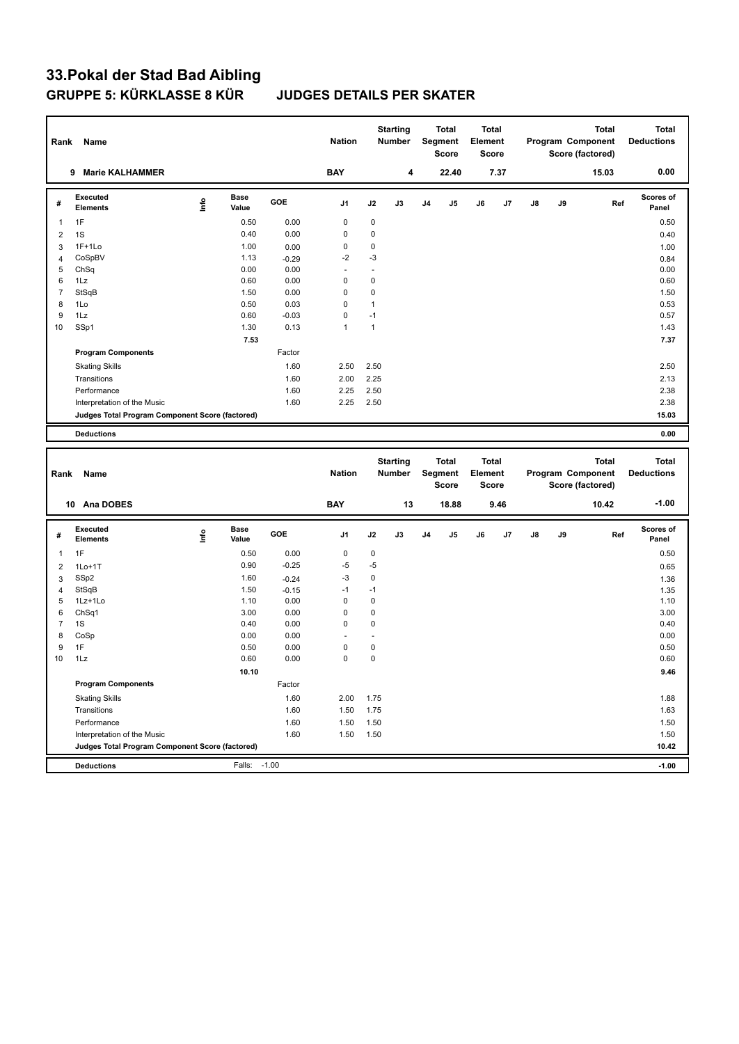| Rank           | Name                                                                           |      |                      |              | <b>Nation</b> |              | <b>Starting</b><br><b>Number</b> |                | <b>Total</b><br>Segment<br><b>Score</b> | Element | Total<br><b>Score</b> |    |    | Total<br>Program Component<br>Score (factored) | Total<br><b>Deductions</b> |
|----------------|--------------------------------------------------------------------------------|------|----------------------|--------------|---------------|--------------|----------------------------------|----------------|-----------------------------------------|---------|-----------------------|----|----|------------------------------------------------|----------------------------|
|                | 9 Marie KALHAMMER                                                              |      |                      |              | <b>BAY</b>    |              | 4                                |                | 22.40                                   |         | 7.37                  |    |    | 15.03                                          | 0.00                       |
| #              | <b>Executed</b><br><b>Elements</b>                                             | lnfo | <b>Base</b><br>Value | <b>GOE</b>   | J1            | J2           | J3                               | J <sub>4</sub> | J5                                      | J6      | J7                    | J8 | J9 | Ref                                            | <b>Scores of</b><br>Panel  |
| 1              | 1F                                                                             |      | 0.50                 | 0.00         | 0             | $\mathsf 0$  |                                  |                |                                         |         |                       |    |    |                                                | 0.50                       |
| $\overline{2}$ | 1S                                                                             |      | 0.40                 | 0.00         | 0             | $\pmb{0}$    |                                  |                |                                         |         |                       |    |    |                                                | 0.40                       |
| 3              | $1F+1Lo$                                                                       |      | 1.00                 | 0.00         | 0             | 0            |                                  |                |                                         |         |                       |    |    |                                                | 1.00                       |
| $\overline{4}$ | CoSpBV                                                                         |      | 1.13                 | $-0.29$      | $-2$          | $-3$         |                                  |                |                                         |         |                       |    |    |                                                | 0.84                       |
| 5              | ChSq                                                                           |      | 0.00                 | 0.00         | ÷,            | ÷            |                                  |                |                                         |         |                       |    |    |                                                | 0.00                       |
| 6              | 1Lz                                                                            |      | 0.60                 | 0.00         | 0             | 0            |                                  |                |                                         |         |                       |    |    |                                                | 0.60                       |
| $\overline{7}$ | StSqB                                                                          |      | 1.50                 | 0.00         | 0             | 0            |                                  |                |                                         |         |                       |    |    |                                                | 1.50                       |
| 8              | 1Lo                                                                            |      | 0.50                 | 0.03         | 0             | $\mathbf{1}$ |                                  |                |                                         |         |                       |    |    |                                                | 0.53                       |
| 9              | 1Lz                                                                            |      | 0.60                 | $-0.03$      | 0             | $-1$         |                                  |                |                                         |         |                       |    |    |                                                | 0.57                       |
| 10             | SSp1                                                                           |      | 1.30                 | 0.13         | $\mathbf{1}$  | $\mathbf{1}$ |                                  |                |                                         |         |                       |    |    |                                                | 1.43                       |
|                |                                                                                |      | 7.53                 |              |               |              |                                  |                |                                         |         |                       |    |    |                                                | 7.37                       |
|                | <b>Program Components</b>                                                      |      |                      | Factor       |               |              |                                  |                |                                         |         |                       |    |    |                                                |                            |
|                | <b>Skating Skills</b>                                                          |      |                      | 1.60         | 2.50          | 2.50         |                                  |                |                                         |         |                       |    |    |                                                | 2.50                       |
|                | Transitions                                                                    |      |                      | 1.60         | 2.00          | 2.25         |                                  |                |                                         |         |                       |    |    |                                                | 2.13                       |
|                | Performance                                                                    |      |                      | 1.60         | 2.25          | 2.50         |                                  |                |                                         |         |                       |    |    |                                                | 2.38                       |
|                | Interpretation of the Music                                                    |      |                      | 1.60         | 2.25          | 2.50         |                                  |                |                                         |         |                       |    |    |                                                | 2.38                       |
|                | Judges Total Program Component Score (factored)                                |      |                      |              |               |              |                                  |                |                                         |         |                       |    |    |                                                | 15.03                      |
|                | <b>Deductions</b>                                                              |      |                      |              |               |              |                                  |                |                                         |         |                       |    |    |                                                | 0.00                       |
|                |                                                                                |      |                      |              |               |              |                                  |                |                                         |         |                       |    |    |                                                |                            |
|                |                                                                                |      |                      |              |               |              |                                  |                |                                         |         |                       |    |    |                                                |                            |
| Rank           | Name                                                                           |      |                      |              | <b>Nation</b> |              | <b>Starting</b><br><b>Number</b> |                | <b>Total</b><br>Segment                 | Element | <b>Total</b>          |    |    | <b>Total</b><br>Program Component              | Total<br><b>Deductions</b> |
|                | 10 Ana DOBES                                                                   |      |                      |              | <b>BAY</b>    |              | 13                               |                | <b>Score</b><br>18.88                   |         | Score<br>9.46         |    |    | Score (factored)<br>10.42                      | $-1.00$                    |
|                |                                                                                |      |                      |              |               |              |                                  |                |                                         |         |                       |    |    |                                                |                            |
| #              | <b>Executed</b><br><b>Elements</b>                                             | lnfo | <b>Base</b><br>Value | GOE          | J1            | J2           | J3                               | J <sub>4</sub> | J5                                      | J6      | J7                    | J8 | J9 | Ref                                            | <b>Scores of</b><br>Panel  |
| 1              | 1F                                                                             |      | 0.50                 | 0.00         | 0             | $\mathsf 0$  |                                  |                |                                         |         |                       |    |    |                                                | 0.50                       |
| $\overline{2}$ | $1Lo+1T$                                                                       |      | 0.90                 | $-0.25$      | $-5$          | $-5$         |                                  |                |                                         |         |                       |    |    |                                                | 0.65                       |
| 3              | SSp2                                                                           |      | 1.60                 | $-0.24$      | $-3$          | 0            |                                  |                |                                         |         |                       |    |    |                                                | 1.36                       |
| $\overline{4}$ | StSqB                                                                          |      | 1.50                 | $-0.15$      | $-1$          | $-1$         |                                  |                |                                         |         |                       |    |    |                                                | 1.35                       |
| 5              | 1Lz+1Lo                                                                        |      | 1.10                 | 0.00         | 0             | 0            |                                  |                |                                         |         |                       |    |    |                                                | 1.10                       |
| 6              | ChSq1                                                                          |      | 3.00                 | 0.00         | 0             | 0            |                                  |                |                                         |         |                       |    |    |                                                | 3.00                       |
| $\overline{7}$ | 1S                                                                             |      | 0.40                 | 0.00         | 0             | 0            |                                  |                |                                         |         |                       |    |    |                                                | 0.40                       |
| 8              | CoSp                                                                           |      | 0.00                 | 0.00         | Ĭ.            | ä,           |                                  |                |                                         |         |                       |    |    |                                                | 0.00                       |
| 9              | 1F                                                                             |      | 0.50                 | 0.00         | 0             | $\pmb{0}$    |                                  |                |                                         |         |                       |    |    |                                                | 0.50                       |
| 10             | 1Lz                                                                            |      | 0.60                 | 0.00         | 0             | $\pmb{0}$    |                                  |                |                                         |         |                       |    |    |                                                | 0.60                       |
|                |                                                                                |      | 10.10                |              |               |              |                                  |                |                                         |         |                       |    |    |                                                | 9.46                       |
|                | <b>Program Components</b>                                                      |      |                      | Factor       |               |              |                                  |                |                                         |         |                       |    |    |                                                |                            |
|                | <b>Skating Skills</b>                                                          |      |                      | 1.60         | 2.00          | 1.75         |                                  |                |                                         |         |                       |    |    |                                                | 1.88                       |
|                | Transitions                                                                    |      |                      | 1.60         | 1.50          | 1.75         |                                  |                |                                         |         |                       |    |    |                                                | 1.63                       |
|                | Performance                                                                    |      |                      |              |               |              |                                  |                |                                         |         |                       |    |    |                                                |                            |
|                |                                                                                |      |                      | 1.60<br>1.60 | 1.50<br>1.50  | 1.50<br>1.50 |                                  |                |                                         |         |                       |    |    |                                                | 1.50<br>1.50               |
|                | Interpretation of the Music<br>Judges Total Program Component Score (factored) |      |                      |              |               |              |                                  |                |                                         |         |                       |    |    |                                                | 10.42                      |
|                | <b>Deductions</b>                                                              |      | Falls: -1.00         |              |               |              |                                  |                |                                         |         |                       |    |    |                                                | $-1.00$                    |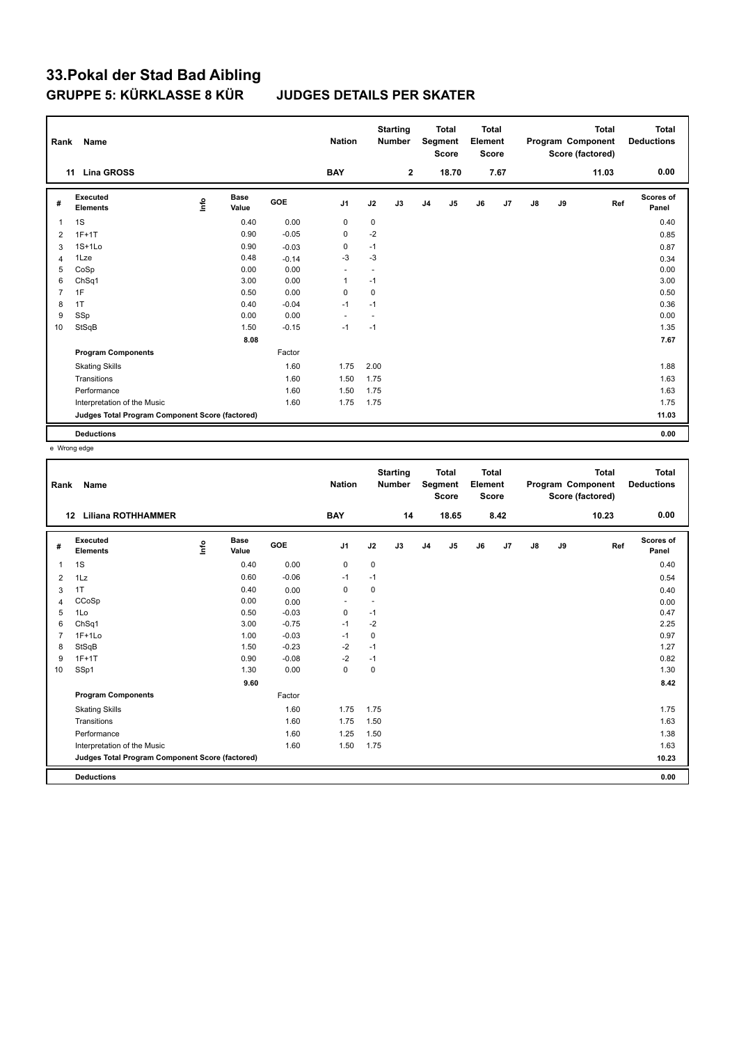| Rank           | Name                                            |      |                      |            | <b>Nation</b>            |                          | <b>Starting</b><br><b>Number</b> |                | <b>Total</b><br>Segment<br><b>Score</b> | <b>Total</b><br>Element<br><b>Score</b> |      |               |    | <b>Total</b><br>Program Component<br>Score (factored) | <b>Total</b><br><b>Deductions</b> |
|----------------|-------------------------------------------------|------|----------------------|------------|--------------------------|--------------------------|----------------------------------|----------------|-----------------------------------------|-----------------------------------------|------|---------------|----|-------------------------------------------------------|-----------------------------------|
|                | <b>Lina GROSS</b><br>11                         |      |                      |            | <b>BAY</b>               |                          | $\mathbf{2}$                     |                | 18.70                                   |                                         | 7.67 |               |    | 11.03                                                 | 0.00                              |
| #              | <b>Executed</b><br><b>Elements</b>              | lnfo | <b>Base</b><br>Value | <b>GOE</b> | J1                       | J2                       | J3                               | J <sub>4</sub> | J5                                      | J6                                      | J7   | $\mathsf{J}8$ | J9 | Ref                                                   | <b>Scores of</b><br>Panel         |
| 1              | 1S                                              |      | 0.40                 | 0.00       | 0                        | 0                        |                                  |                |                                         |                                         |      |               |    |                                                       | 0.40                              |
| 2              | $1F+1T$                                         |      | 0.90                 | $-0.05$    | 0                        | $-2$                     |                                  |                |                                         |                                         |      |               |    |                                                       | 0.85                              |
| 3              | $1S+1Lo$                                        |      | 0.90                 | $-0.03$    | 0                        | $-1$                     |                                  |                |                                         |                                         |      |               |    |                                                       | 0.87                              |
| 4              | 1Lze                                            |      | 0.48                 | $-0.14$    | $-3$                     | $-3$                     |                                  |                |                                         |                                         |      |               |    |                                                       | 0.34                              |
| 5              | CoSp                                            |      | 0.00                 | 0.00       | $\blacksquare$           | $\overline{\phantom{a}}$ |                                  |                |                                         |                                         |      |               |    |                                                       | 0.00                              |
| 6              | Ch <sub>Sq1</sub>                               |      | 3.00                 | 0.00       | $\mathbf{1}$             | $-1$                     |                                  |                |                                         |                                         |      |               |    |                                                       | 3.00                              |
| $\overline{7}$ | 1F                                              |      | 0.50                 | 0.00       | 0                        | 0                        |                                  |                |                                         |                                         |      |               |    |                                                       | 0.50                              |
| 8              | 1T                                              |      | 0.40                 | $-0.04$    | $-1$                     | $-1$                     |                                  |                |                                         |                                         |      |               |    |                                                       | 0.36                              |
| 9              | SSp                                             |      | 0.00                 | 0.00       | $\overline{\phantom{a}}$ | ٠                        |                                  |                |                                         |                                         |      |               |    |                                                       | 0.00                              |
| 10             | StSqB                                           |      | 1.50                 | $-0.15$    | $-1$                     | $-1$                     |                                  |                |                                         |                                         |      |               |    |                                                       | 1.35                              |
|                |                                                 |      | 8.08                 |            |                          |                          |                                  |                |                                         |                                         |      |               |    |                                                       | 7.67                              |
|                | <b>Program Components</b>                       |      |                      | Factor     |                          |                          |                                  |                |                                         |                                         |      |               |    |                                                       |                                   |
|                | <b>Skating Skills</b>                           |      |                      | 1.60       | 1.75                     | 2.00                     |                                  |                |                                         |                                         |      |               |    |                                                       | 1.88                              |
|                | Transitions                                     |      |                      | 1.60       | 1.50                     | 1.75                     |                                  |                |                                         |                                         |      |               |    |                                                       | 1.63                              |
|                | Performance                                     |      |                      | 1.60       | 1.50                     | 1.75                     |                                  |                |                                         |                                         |      |               |    |                                                       | 1.63                              |
|                | Interpretation of the Music                     |      |                      | 1.60       | 1.75                     | 1.75                     |                                  |                |                                         |                                         |      |               |    |                                                       | 1.75                              |
|                | Judges Total Program Component Score (factored) |      |                      |            |                          |                          |                                  |                |                                         |                                         |      |               |    |                                                       | 11.03                             |
|                | <b>Deductions</b>                               |      |                      |            |                          |                          |                                  |                |                                         |                                         |      |               |    |                                                       | 0.00                              |

e Wrong edge

| Rank           | Name                                            |      |                      |         | <b>Nation</b>  |             | <b>Starting</b><br><b>Number</b> |                | <b>Total</b><br><b>Segment</b><br><b>Score</b> | <b>Total</b><br>Element<br><b>Score</b> |      |    |    | <b>Total</b><br>Program Component<br>Score (factored) | Total<br><b>Deductions</b> |
|----------------|-------------------------------------------------|------|----------------------|---------|----------------|-------------|----------------------------------|----------------|------------------------------------------------|-----------------------------------------|------|----|----|-------------------------------------------------------|----------------------------|
|                | <b>Liliana ROTHHAMMER</b><br>12                 |      |                      |         | <b>BAY</b>     |             | 14                               |                | 18.65                                          |                                         | 8.42 |    |    | 10.23                                                 | 0.00                       |
| #              | Executed<br><b>Elements</b>                     | ١mfo | <b>Base</b><br>Value | GOE     | J <sub>1</sub> | J2          | J3                               | J <sub>4</sub> | J5                                             | J6                                      | J7   | J8 | J9 | Ref                                                   | <b>Scores of</b><br>Panel  |
| $\mathbf{1}$   | 1S                                              |      | 0.40                 | 0.00    | $\pmb{0}$      | $\mathbf 0$ |                                  |                |                                                |                                         |      |    |    |                                                       | 0.40                       |
| 2              | 1Lz                                             |      | 0.60                 | $-0.06$ | $-1$           | $-1$        |                                  |                |                                                |                                         |      |    |    |                                                       | 0.54                       |
| 3              | 1T                                              |      | 0.40                 | 0.00    | $\mathbf 0$    | 0           |                                  |                |                                                |                                         |      |    |    |                                                       | 0.40                       |
| 4              | CCoSp                                           |      | 0.00                 | 0.00    | ٠              | ٠           |                                  |                |                                                |                                         |      |    |    |                                                       | 0.00                       |
| 5              | 1Lo                                             |      | 0.50                 | $-0.03$ | 0              | $-1$        |                                  |                |                                                |                                         |      |    |    |                                                       | 0.47                       |
| 6              | ChSq1                                           |      | 3.00                 | $-0.75$ | $-1$           | $-2$        |                                  |                |                                                |                                         |      |    |    |                                                       | 2.25                       |
| $\overline{7}$ | $1F+1Lo$                                        |      | 1.00                 | $-0.03$ | $-1$           | $\mathbf 0$ |                                  |                |                                                |                                         |      |    |    |                                                       | 0.97                       |
| 8              | StSqB                                           |      | 1.50                 | $-0.23$ | $-2$           | $-1$        |                                  |                |                                                |                                         |      |    |    |                                                       | 1.27                       |
| 9              | $1F+1T$                                         |      | 0.90                 | $-0.08$ | $-2$           | $-1$        |                                  |                |                                                |                                         |      |    |    |                                                       | 0.82                       |
| 10             | SSp1                                            |      | 1.30                 | 0.00    | 0              | 0           |                                  |                |                                                |                                         |      |    |    |                                                       | 1.30                       |
|                |                                                 |      | 9.60                 |         |                |             |                                  |                |                                                |                                         |      |    |    |                                                       | 8.42                       |
|                | <b>Program Components</b>                       |      |                      | Factor  |                |             |                                  |                |                                                |                                         |      |    |    |                                                       |                            |
|                | <b>Skating Skills</b>                           |      |                      | 1.60    | 1.75           | 1.75        |                                  |                |                                                |                                         |      |    |    |                                                       | 1.75                       |
|                | Transitions                                     |      |                      | 1.60    | 1.75           | 1.50        |                                  |                |                                                |                                         |      |    |    |                                                       | 1.63                       |
|                | Performance                                     |      |                      | 1.60    | 1.25           | 1.50        |                                  |                |                                                |                                         |      |    |    |                                                       | 1.38                       |
|                | Interpretation of the Music                     |      |                      | 1.60    | 1.50           | 1.75        |                                  |                |                                                |                                         |      |    |    |                                                       | 1.63                       |
|                | Judges Total Program Component Score (factored) |      |                      |         |                |             |                                  |                |                                                |                                         |      |    |    |                                                       | 10.23                      |
|                |                                                 |      |                      |         |                |             |                                  |                |                                                |                                         |      |    |    |                                                       |                            |
|                | <b>Deductions</b>                               |      |                      |         |                |             |                                  |                |                                                |                                         |      |    |    |                                                       | 0.00                       |